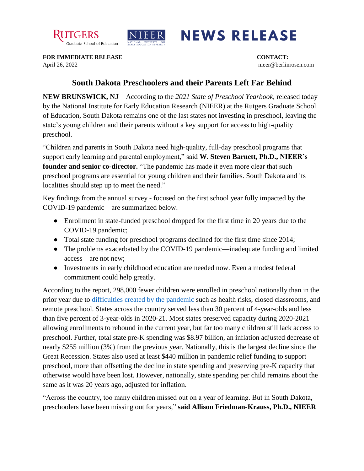



## **NEWS RELEASE**

**FOR IMMEDIATE RELEASE CONTACT:** April 26, 2022 nieer@berlinrosen.com

## **South Dakota Preschoolers and their Parents Left Far Behind**

**NEW BRUNSWICK, NJ** – According to the *2021 State of Preschool Yearbook,* released today by the National Institute for Early Education Research (NIEER) at the Rutgers Graduate School of Education, South Dakota remains one of the last states not investing in preschool, leaving the state's young children and their parents without a key support for access to high-quality preschool.

"Children and parents in South Dakota need high-quality, full-day preschool programs that support early learning and parental employment," said **W. Steven Barnett, Ph.D., NIEER's founder and senior co-director.** "The pandemic has made it even more clear that such preschool programs are essential for young children and their families. South Dakota and its localities should step up to meet the need."

Key findings from the annual survey - focused on the first school year fully impacted by the COVID-19 pandemic – are summarized below.

- Enrollment in state-funded preschool dropped for the first time in 20 years due to the COVID-19 pandemic;
- Total state funding for preschool programs declined for the first time since 2014;
- The problems exacerbated by the COVID-19 pandemic—inadequate funding and limited access—are not new;
- Investments in early childhood education are needed now. Even a modest federal commitment could help greatly.

According to the report, 298,000 fewer children were enrolled in preschool nationally than in the prior year due to [difficulties created by the pandemic](https://nieer.org/wp-content/uploads/2021/02/NIEER_Seven_Impacts_of_the_Pandemic_on_Young_Children_and_their_Parents.pdf) such as health risks, closed classrooms, and remote preschool. States across the country served less than 30 percent of 4-year-olds and less than five percent of 3-year-olds in 2020-21. Most states preserved capacity during 2020-2021 allowing enrollments to rebound in the current year, but far too many children still lack access to preschool. Further, total state pre-K spending was \$8.97 billion, an inflation adjusted decrease of nearly \$255 million (3%) from the previous year. Nationally, this is the largest decline since the Great Recession. States also used at least \$440 million in pandemic relief funding to support preschool, more than offsetting the decline in state spending and preserving pre-K capacity that otherwise would have been lost. However, nationally, state spending per child remains about the same as it was 20 years ago, adjusted for inflation.

"Across the country, too many children missed out on a year of learning. But in South Dakota, preschoolers have been missing out for years," **said Allison Friedman-Krauss, Ph.D., NIEER**